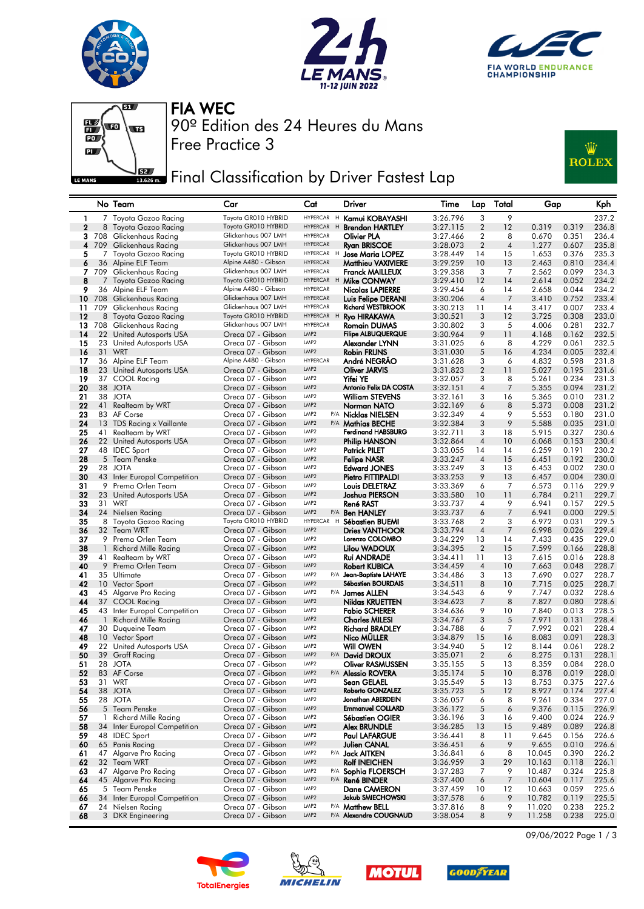







Free Practice 3 90º Edition des 24 Heures du Mans FIA WEC

Final Classification by Driver Fastest Lap



## No Team Car Cat Driver Time Lap Total Gap Kph 1 7 Toyota Gazoo Racing Toyota GR010 HYBRID HYPERCAR H **Kamui KOBAYASHI** 3:26.796 3 9 237.2<br>2 8 Toyota Gazoo Racing Toyota GR010 HYBRID HYPERCAR H **Brendon HARTLEY** 3:27.115 2 12 0.319 0.319 236.8 2 Toyota Gazoo Racing Toyota GR010 HYBRID HYPERCAR<br>Clickenhaus Racing Glickenhaus 007 LMH HYPERCAR 3 708 Glickenhaus Racing Glickenhaus 007 LMH HYPERCAR Olivier PLA 3:27.466 2 8 0.670 0.351 236.4 4 709 Glickenhaus Racing Glickenhaus 007 LMH HYPERCAR Ryan BRISCOE 3:28.073 2 4 1.277 0.607 235.8 5 Toyota Gazoo Racing Toyota GR010 HYBRID HYPERCAR H Jose Maria LOPEZ 3:28.449 14 15 1.653 0.376 235.3<br>36 Alpine ELF Team Alpine A480 - Gibson HYPERCAR Matthieu VAXIVIERE 3:29.259 10 13 2.463 0.810 234.4 6 36 Alpine ELF Team Alpine A480 - Gibson HYPERCAR Matthieu VAXIVIERE 3:29.259 10 13 2.463 0.810 234.4 709 Glickenhaus Racing Glickenhaus 007 LMH HYPERCAR **Franck MAILLEUX** 3:29.358 3<br>7 Ioveta Gazoo Pacing Joveta GR010 HYBRID HYPERCAR H Mile CONWAY 3:29.410 12 8 7 Toyota Gazoo Racing Toyota GR010 HYBRID HYPERCAR H **Mike CONWAY** 3:29.410 12 14 2.614 0.052 234.2<br>9 36 Alpine FLF Team Alpine A480 - Gibson HYPERCAR **Nicolas LAPIFRRF** 3:29.454 6 14 2.658 0.044 234.2 9 36 Alpine ELF Team Alpine A480 - Gibson HYPERCAR **Nicolas LAPIERRE** 3:29.454 6 14 2.658 0.044 234.2 10 708 Glickenhaus Racing Glickenhaus 007 LMH HYPERCAR Luis Felipe DERANI 3:30.206 4 7 3.410 0.752 233.4<br>11 709 Glickenhaus Racing Glickenhaus 007 LMH HYPERCAR Richard WESTBROOK 3:30.213 11 14 3.417 0.007 233.4 11 709 Glickenhaus Racing Glickenhaus 007 LMH HYPERCAR Richard WESTBROOK 3:30.213 11 14 3.417 0.007 233.4 12 8 Toyota Gazoo Racing Toyota GR010 HYBRID HYPERCAR <sup>H</sup> Ryo HIRAKAWA 3:30.521 3 12 3.725 0.308 233.0 13 708 Glickenhaus Racing Glickenhaus 007 LMH HYPERCAR Romain DUMAS 3:30.802 3 5 4.006 0.281 232.7 14 22 United Autosports USA Oreca 07 - Gibson LMP2 Filipe ALBUQUERQUE 3:30.964 9 11 4.168 0.162 232.5<br>15 23 United Autosports USA Oreca 07 - Gibson LMP2 Alexander LYNN 3:31.025 6 8 4.229 0.061 232.5 13 United Autosports USA Oreca 07 - Gibson LMP2 **Alexander LYNN** 3:31.025 6 8 4.229 0.061 232.5<br>13 WRT Creca 07 - Gibson LMP2 **Robin FRIJNS** 3:31.030 5 16 4.234 0.005 232.4 16 31 WRT Oreca 07 - Gibson LMP2 Robin FRIJNS 3:31.030 5 16 4.234 0.005 232.4 17 36 Alpine ELF Team Alpine A480 - Gibson HYPERCAR **André NEGRÃO** 3:31.628 3 6 4.832 0.598 231.8<br>18 23 United Autosports USA Oreca 07 - Gibson LMP2 **Cliver JARVIS** 3:31.823 2 11 5.027 0.195 231.6<br>19 37 COOL Racing Oreca 0 18 23 United Autosports USA Creca 07 - Gibson LMP2 **Cliver JARVIS** 3:31.823 2 11 5.027 0.195 231.6<br>19 37 COOL Racing Creca 07 - Gibson LMP2 **Yifei YE** 3:32.057 3 8 5.261 0.234 231.3 19 37 COOL Racing Oreca 07 - Gibson LMP2<br>19 38 JOTA Oreca 07 - Gibson LMP2 20 38 JOTA Oreca 07 - Gibson LMP2 Antonio Felix DA COSTA 3:32.151 4 7 5.355 0.094 231.2 21 38 JOTA Oreca 07 - Gibson LMP2 William STEVENS 3:32.161 3 16 5.365 0.010 231.2 22 41 Realteam by WRT Oreca 07 - Gibson LMP2 Norman NATO 3:32.169 6 8 5.373 0.008 231.2 23 83 AF Corse Crea 07 - Gibson LMP<sub>2</sub> P/A **Nicklas NIELSEN** 3:32.349 4 9 5.553 0.180 231.0<br>24 13 TDS Racing x Vaillante Creca 07 - Gibson LMP<sub>2</sub> P/A Mathias BECHE 3:32.384 3 9 5.588 0.035 231.0 24 12 TDS Racing x Vaillante Creca 07 - Gibson LMP2 P/A **Mathias BECHE** 3:32.384 3 9 5.588 0.035 231.0<br>Realteam by WRT Creca 07 - Gibson LMP2 Ferdinand HABSBURG 3:32.711 3 18 5.915 0.327 230.6 25 41 Realteam by WRT Oreca 07 - Gibson LMP2 Ferdinand HABSBURG 3:32.711 3 18 5.915 0.327 230.6 26 22 United Autosports USA Creca 07 - Gibson LMP2 **Philip HANSON** 3:32.864 4 10 6.068 0.153 230.4<br>27 48 IDEC Sport Creca 07 - Gibson LMP2 **Patrick PILET** 3:33.055 14 14 6.259 0.191 230.2 27 48 IDEC Sport Oreca 07 - Gibson LMP2 Patrick PILET 3:33.055 14 14 6.259 0.191 230.2 28 5 Team Penske Oreca 07 - Gibson LMP2 Felipe NASR 3:33.247 4 15 6.451 0.192 230.0 **29** 28 JOTA Oreca 07 - Gibson un<sup>p</sup>2 **Edward JONES** 3:33.249 3 13 6.453 0.002 230.0  $\begin{array}{cccccc}\n \textbf{29} & 28 & JOTA \\
\textbf{30} & 43 & Inter European Competition \\
\textbf{31} & 9 & Prema Orlen Team\n \end{array}$  Preca 07 - Gibson LMP2 **Pietro FITTIPALDI**  $\begin{array}{cccccc}\n \textbf{3:33.249} & \textbf{3} & \textbf{13} & \textbf{6.453} & \textbf{0.002} & \textbf{230.03} \\
\textbf{31} & 9 & Prem$ 31 9 Prema Orlen Team Creca 07 - Gibson UMP2 Louis DELETRAZ 3:33.369 6 7 6.573 0.116 229.9<br>32 23 United Autosports USA Oreca 07 - Gibson UMP2 Joshua PIERSON 3:33.580 10 11 6.784 0.211 229.7 32 23 United Autosports USA Oreca 07 - Gibson UMP2 **Joshua PIERSON** 3:33.580 10 11 6.784 0.211 229.7<br>33 31 WRT Oreca 07 - Gibson UMP2 **René RAST** 3:33.737 4 9 6.941 0.157 229.5 33 31 WRT Oreca 07 - Gibson LMP2 René RAST 3:33.737 4 9 6.941 0.157 229.5 34 24 Nielsen Racing Oreca 07 - Gibson LMP2 P/A Ben HANLEY 3:33.737 6 7 6.941 0.000 229.5 35 8 Toyota Gazoo Racing Toyota GR010 HYBRID HYPERCAR <sup>H</sup> Sébastien BUEMI 3:33.768 2 3 6.972 0.031 229.5 36 32 Team WRT Oreca 07 - Gibson LMP2 Dries VANTHOOR 3:33.794 4 7 6.998 0.026 229.4 37 9 Prema Orlen Team Oreca 07 - Gibson LMP2 Lorenzo COLOMBO 3:34.229 13 14 7.433 0.435 229.0 38 1 Richard Mille Racing Oreca 07 - Gibson LMP2 Lilou WADOUX 3:34.395 2 15 7.599 0.166 228.8 39 41 Realteam by WRT Oreca 07 - Gibson LMP2 Rui ANDRADE 3:34.411 11 13 7.615 0.016 228.8 40 9 Prema Orlen Team Oreca 07 - Gibson LMP2 Robert KUBICA 3:34.459 4 10 7.663 0.048 228.7 41 35 Ultimate Oreca 07 - Gibson LMP2 P/A Jean-Baptiste LAHAYE 3:34.486 3 13 7.690 0.027 228.7 42 10 Vector Sport Oreca 07 - Gibson LMP2 Sébastien BOURDAIS 3:34.511 8 10 7.715 0.025 228.7 43 45 Algarve Pro Racing Oreca 07 - Gibson LMP2 P/A James ALLEN 3:34.543 6 9 7.747 0.032 228.6 44 37 COOL Racing Oreca 07 - Gibson LMP2 Niklas KRUETTEN 3:34.623 7 8 7.827 0.080 228.6 45 43 Inter Europol Competition Oreca 07 - Gibson<br>**46** 1 Richard Mille Racing Oreca 07 - Gibson 46 1 Richard Mille Racing Oreca 07 - Gibson LMP2 Charles MILESI 3:34.767 3 5 7.971 0.131 228.4 47 30 Duqueine Team Oreca 07 - Gibson <sup>LMP2</sup> **Richard BRADLEY** 3:34.788 6 7 7.992 0.021 228.4 48 10 Vector Sport Oreca 07 - Gibson LMP2 Nico MÜLLER 3:34.879 15 16 8.083 0.091 228.3 48 10 Vector Sport Crist Creca 07 - Gibson UMP2 Nico MÜLLER<br>19 22 United Autosports USA Oreca 07 - Gibson UMP2 Will OWEN 3:34.979 15 16 8.083 0.091 228.3<br>19 Graff Racing Oreca 07 - Gibson UMP2 P/A David DROUX 3:35.071 2 6 50 39 Graff Racing Oreca 07 - Gibson LMP2 P/A David DROUX 3:35.071 2 6 8.275 0.131 228.1 51 28 JOTA Oreca 07 - Gibson LMP2 Oliver RASMUSSEN 3:35.155 5 13 8.359 0.084 228.0 52 83 AF Corse Oreca 07 - Gibson LMP2 P/A Alessio ROVERA 3:35.174 5 10 8.378 0.019 228.0 53 31 WRT Oreca 07 - Gibson LMP2 Sean GELAEL 3:35.549 5 13 8.753 0.375 227.6 54 38 JOTA Oreca 07 - Gibson LMP2 Roberto GONZALEZ 3:35.723 5 12 8.927 0.174 227.4 55 28 JOTA Oreca 07 - Gibson LMP2 Jonathan ABERDEIN 3:36.057 6 8 9.261 0.334 227.0 56 5 Team Penske Oreca 07 - Gibson LMP2 Emmanuel COLLARD 3:36.172 5 6 9.376 0.115 226.9 57 1 Richard Mille Racing Creca 07 - Gibson UMP2 **Sébastien OGIER** 3:36.196 3 16 9.400 0.024 226.9<br>58 34 Inter Europol Competition Oreca 07 - Gibson UMP2 Alex BRUNDLE 3:36.285 13 15 9.489 0.089 226.8 58 34 Inter Europol Competition Creca 07 - Gibson UMP2 Alex BRUNDLE 3:36.285 13 15 9.489 0.089 226.8<br>59 48 IDEC Sport Creca 07 - Gibson UMP2 Paul LAFARGUE 3:36.441 8 11 9.645 0.156 226.6 **59** 48 IDEC Sport **Communication Communication Communication** Communication Communication Communication Communica<br> **60** 65 Panis Racing Communication Communication Communication CANAL 3:36.451 6 9 9.655 0.010 226.6 60 65 Panis Racing Oreca 07 - Gibson LMP2 Julien CANAL 3:36.451 6 9 9.655 0.010 226.6 61 47 Algarve Pro Racing Oreca 07 - Gibson LMP2 P/A Jack AITKEN 3:36.841 6 8 10.045 0.390 226.2 62 32 Team WRT Oreca 07 - Gibson LMP2 Rolf INEICHEN 3:36.959 3 29 10.163 0.118 226.1 63 47 Algarve Pro Racing Oreca 07 - Gibson LMP2 P/A Sophia FLOERSCH 3:37.283 7 9 10.487 0.324 225.8 64 45 Algarve Pro Racing Oreca 07 - Gibson LMP2 P/A René BINDER 3:37.400 6 7 10.604 0.117 225.6 65 5 Team Penske Oreca 07 - Gibson LMP2 Dane CAMERON 3:37.459 10 12 10.663 0.059 225.6 66 34 Inter Europol Competition Creca 07 - Gibson LMP2 Jakub SMIECHOWSKI 3:37.578 6 9 10.782 0.119 225.5<br>67 24 Nielsen Racing Oreca 07 - Gibson LMP2 P/A Matthew BELL 3:37.816 8 9 11.020 0.238 225.2 67 24 Nielsen Racing Oreca 07 - Gibson LMP2 P/A Matthew BELL 3:37.816 8 9 11.020 0.238 225.2 68 3 DKR Engineering Oreca 07 - Gibson LMP2 P/A Alexandre COUGNAUD 3:38.054 8 9 11.258 0.238 225.0









09/06/2022 Page 1 / 3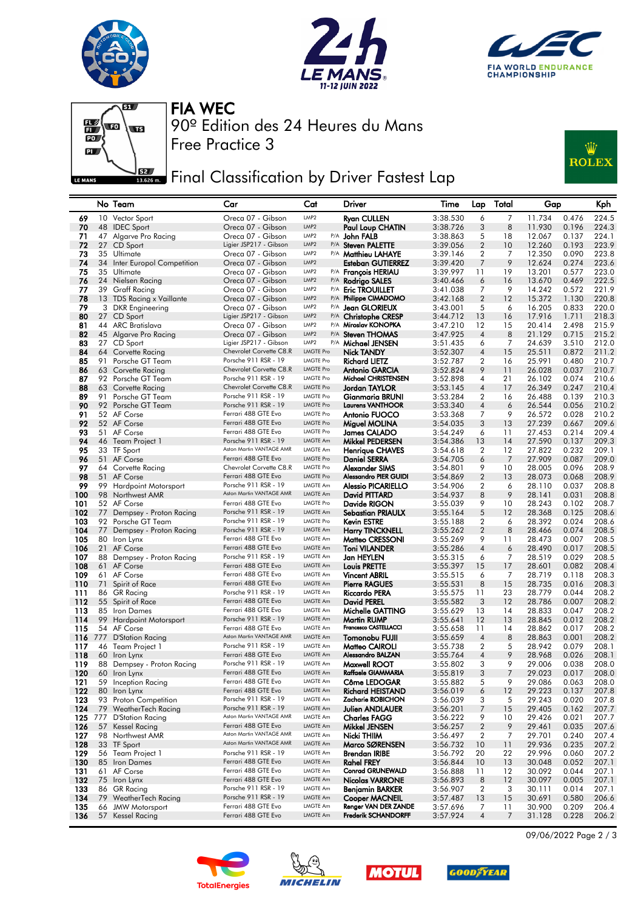







Free Practice 3 90º Edition des 24 Heures du Mans FIA WEC

## **JER** Final Classification by Driver Fastest Lap



|            |     | No Team                                     | Car                                             | Cat                                  | Driver                                                     | Time                 | Lap                 | Total               | Gap              | Kph                              |
|------------|-----|---------------------------------------------|-------------------------------------------------|--------------------------------------|------------------------------------------------------------|----------------------|---------------------|---------------------|------------------|----------------------------------|
| 69         |     | 10 Vector Sport                             | Oreca 07 - Gibson                               | LMP2                                 | <b>Ryan CULLEN</b>                                         | 3:38.530             | 6                   | 7                   | 11.734           | 224.5<br>0.476                   |
| 70         |     | 48 IDEC Sport                               | Oreca 07 - Gibson                               | LMP <sub>2</sub>                     | Paul Loup CHATIN                                           | 3:38.726             | 3                   | 8                   | 11.930           | 0.196<br>224.3                   |
| 71         |     | 47 Algarve Pro Racing                       | Oreca 07 - Gibson                               | LMP <sub>2</sub>                     | P/A John FALB                                              | 3:38.863             | 5                   | 18                  | 12.067           | 0.137<br>224.1                   |
| 72         | 27  | CD Sport                                    | Ligier JSP217 - Gibson                          | LMP <sub>2</sub>                     | P/A Steven PALETTE                                         | 3:39.056             | $\overline{2}$      | 10                  | 12.260           | 223.9<br>0.193                   |
| 73<br>74   |     | 35 Ultimate                                 | Oreca 07 - Gibson<br>Oreca 07 - Gibson          | LMP <sub>2</sub><br>LMP <sub>2</sub> | <sup>P/A</sup> <b>Matthieu LAHAYE</b><br>Esteban GUTIERREZ | 3:39.146<br>3:39.420 | 2<br>7              | 7<br>9              | 12.350<br>12.624 | 223.8<br>0.090<br>0.274<br>223.6 |
| 75         |     | 34 Inter Europol Competition<br>35 Ultimate | Oreca 07 - Gibson                               | LMP2                                 | P/A François HERIAU                                        | 3:39.997             | 11                  | 19                  | 13.201           | 0.577<br>223.0                   |
| 76         |     | 24 Nielsen Racing                           | Oreca 07 - Gibson                               | LMP <sub>2</sub>                     | P/A Rodrigo SALES                                          | 3:40.466             | 6                   | 16                  | 13.670           | 0.469<br>222.5                   |
| 77         | 39  | <b>Graff Racing</b>                         | Oreca 07 - Gibson                               | LMP2                                 | P/A Eric TROUILLET                                         | 3:41.038             | 7                   | 9                   | 14.242           | 0.572<br>221.9                   |
| 78         |     | 13 TDS Racing x Vaillante                   | Oreca 07 - Gibson                               | LMP <sub>2</sub>                     | P/A Philippe CIMADOMO                                      | 3:42.168             | $\overline{2}$      | 12                  | 15.372           | 1.130<br>220.8                   |
| 79         | 3   | <b>DKR</b> Engineering                      | Oreca 07 - Gibson                               | LMP2                                 | P/A Jean GLORIEUX                                          | 3:43.001             | 5                   | 6                   | 16.205           | 0.833<br>220.0                   |
| 80         |     | 27 CD Sport                                 | Ligier JSP217 - Gibson                          | LMP <sub>2</sub>                     | P/A Christophe CRESP                                       | 3:44.712             | 13                  | 16                  | 17.916           | 1.711<br>218.3                   |
| 81         |     | 44 ARC Bratislava                           | Oreca 07 - Gibson                               | LMP <sub>2</sub>                     | P/A Miroslav KONOPKA                                       | 3:47.210             | 12                  | 15                  | 20.414           | 2.498<br>215.9                   |
| 82         |     | 45 Algarve Pro Racing                       | Oreca 07 - Gibson                               | LMP <sub>2</sub>                     | P/A Steven THOMAS                                          | 3:47.925             | $\overline{4}$      | 8                   | 21.129           | 215.2<br>0.715                   |
| 83         |     | 27 CD Sport                                 | Ligier JSP217 - Gibson                          | LMP2                                 | P/A Michael JENSEN                                         | 3:51.435             | 6                   | 7                   | 24.639           | 3.510<br>212.0                   |
| 84         | 64  | Corvette Racing                             | Chevrolet Corvette C8.R<br>Porsche 911 RSR - 19 | <b>LMGTE Pro</b><br><b>LMGTE Pro</b> | Nick TANDY                                                 | 3:52.307             | 4                   | 15                  | 25.511           | 211.2<br>0.872                   |
| 85<br>86   | 91  | Porsche GT Team<br>63 Corvette Racing       | Chevrolet Corvette C8.R                         | LMGTE Pro                            | Richard LIETZ<br>Antonio GARCIA                            | 3:52.787<br>3:52.824 | 2<br>9              | 16<br>11            | 25.991<br>26.028 | 0.480<br>210.7<br>0.037<br>210.7 |
| 87         |     | 92 Porsche GT Team                          | Porsche 911 RSR - 19                            | <b>LMGTE Pro</b>                     | Michael CHRISTENSEN                                        | 3:52.898             | 4                   | 21                  | 26.102           | 0.074<br>210.6                   |
| 88         |     | 63 Corvette Racing                          | Chevrolet Corvette C8.R                         | <b>LMGTE Pro</b>                     | Jordan TAYLOR                                              | 3:53.145             | 4                   | 17                  | 26.349           | 0.247<br>210.4                   |
| 89         | 91  | Porsche GT Team                             | Porsche 911 RSR - 19                            | <b>LMGTE Pro</b>                     | Gianmaria BRUNI                                            | 3:53.284             | 2                   | 16                  | 26.488           | 0.139<br>210.3                   |
| 90         |     | 92 Porsche GT Team                          | Porsche 911 RSR - 19                            | <b>LMGTE Pro</b>                     | <b>Laurens VANTHOOR</b>                                    | 3:53.340             | 4                   | 6                   | 26.544           | 210.2<br>0.056                   |
| 91         |     | 52 AF Corse                                 | Ferrari 488 GTE Evo                             | <b>LMGTE Pro</b>                     | Antonio FUOCO                                              | 3:53.368             | 7                   | 9                   | 26.572           | 0.028<br>210.2                   |
| 92         |     | 52 AF Corse                                 | Ferrari 488 GTE Evo                             | <b>LMGTE Pro</b>                     | Miguel MOLINA                                              | 3:54.035             | 3                   | 13                  | 27.239           | 209.6<br>0.667                   |
| 93         |     | 51 AF Corse                                 | Ferrari 488 GTE Evo                             | <b>LMGTE Pro</b>                     | James CALADO                                               | 3:54.249             | 6                   | 11                  | 27.453           | 0.214<br>209.4                   |
| 94         |     | 46 Team Project 1                           | Porsche 911 RSR - 19                            | <b>LMGTE Am</b>                      | <b>Mikkel PEDERSEN</b>                                     | 3:54.386             | 13                  | 14                  | 27.590           | 0.137<br>209.3                   |
| 95         |     | 33 TF Sport                                 | Aston Martin VANTAGE AMR                        | <b>LMGTE Am</b>                      | <b>Henrique CHAVES</b>                                     | 3:54.618             | 2                   | 12                  | 27.822           | 0.232<br>209.1                   |
| 96         |     | 51 AF Corse                                 | Ferrari 488 GTE Evo                             | <b>LMGTE Pro</b>                     | Daniel SERRA                                               | 3:54.705             | 6                   | 7                   | 27.909           | 0.087<br>209.0                   |
| 97<br>98   |     | 64 Corvette Racing                          | Chevrolet Corvette C8.R<br>Ferrari 488 GTE Evo  | <b>LMGTE Pro</b><br><b>LMGTE Pro</b> | Alexander SIMS<br>Alessandro PIER GUIDI                    | 3:54.801<br>3:54.869 | 9<br>$\overline{2}$ | 10<br>13            | 28.005<br>28.073 | 0.096<br>208.9<br>208.9          |
| 99         | 99  | 51 AF Corse<br><b>Hardpoint Motorsport</b>  | Porsche 911 RSR - 19                            | <b>LMGTE Am</b>                      | <b>Alessio PICARIELLO</b>                                  | 3:54.906             | 2                   | 6                   | 28.110           | 0.068<br>0.037<br>208.8          |
| 100        |     | 98 Northwest AMR                            | Aston Martin VANTAGE AMR                        | LMGTE Am                             | David PITTARD                                              | 3:54.937             | 8                   | 9                   | 28.141           | 208.8<br>0.031                   |
| 101        |     | 52 AF Corse                                 | Ferrari 488 GTE Evo                             | <b>LMGTE Pro</b>                     | Davide RIGON                                               | 3:55.039             | 9                   | 10                  | 28.243           | 0.102<br>208.7                   |
| 102        | 77  | Dempsey - Proton Racing                     | Porsche 911 RSR - 19                            | LMGTE Am                             | Sebastian PRIAULX                                          | 3:55.164             | 5                   | 12                  | 28.368           | 0.125<br>208.6                   |
| 103        |     | 92 Porsche GT Team                          | Porsche 911 RSR - 19                            | <b>LMGTE Pro</b>                     | Kevin ESTRE                                                | 3:55.188             | 2                   | 6                   | 28.392           | 0.024<br>208.6                   |
| 104        | 77  | Dempsey - Proton Racing                     | Porsche 911 RSR - 19                            | <b>LMGTE Am</b>                      | <b>Harry TINCKNELL</b>                                     | 3:55.262             | $\overline{2}$      | 8                   | 28.466           | 208.5<br>0.074                   |
| 105        | 80  | Iron Lynx                                   | Ferrari 488 GTE Evo                             | <b>LMGTE Am</b>                      | Matteo CRESSONI                                            | 3:55.269             | 9                   | 11                  | 28.473           | 0.007<br>208.5                   |
| 106        |     | 21 AF Corse                                 | Ferrari 488 GTE Evo                             | LMGTE Am                             | <b>Toni VILANDER</b>                                       | 3:55.286             | 4                   | 6                   | 28.490           | 208.5<br>0.017                   |
| 107        | 88  | Dempsey - Proton Racing                     | Porsche 911 RSR - 19<br>Ferrari 488 GTE Evo     | LMGTE Am<br><b>LMGTE Am</b>          | Jan HEYLEN                                                 | 3:55.315             | 6                   | 7                   | 28.519           | 0.029<br>208.5                   |
| 108<br>109 |     | 61 AF Corse<br>61 AF Corse                  | Ferrari 488 GTE Evo                             | LMGTE Am                             | Louis PRETTE<br><b>Vincent ABRIL</b>                       | 3:55.397<br>3:55.515 | 15<br>6             | 17<br>7             | 28.601<br>28.719 | 0.082<br>208.4<br>0.118<br>208.3 |
| 110        | 71  | Spirit of Race                              | Ferrari 488 GTE Evo                             | LMGTE Am                             | Pierre RAGUES                                              | 3:55.531             | 8                   | 15                  | 28.735           | 0.016<br>208.3                   |
| 111        |     | 86 GR Racing                                | Porsche 911 RSR - 19                            | LMGTE Am                             | Riccardo PERA                                              | 3:55.575             | 11                  | 23                  | 28.779           | 0.044<br>208.2                   |
| 112        |     | 55 Spirit of Race                           | Ferrari 488 GTE Evo                             | LMGTE Am                             | David PEREL                                                | 3:55.582             | 3                   | 12                  | 28.786           | 0.007<br>208.2                   |
| 113        | 85  | <b>Iron Dames</b>                           | Ferrari 488 GTE Evo                             | LMGTE Am                             | Michelle GATTING                                           | 3:55.629             | 13                  | 14                  | 28.833           | 0.047<br>208.2                   |
| 114        | 99  | <b>Hardpoint Motorsport</b>                 | Porsche 911 RSR - 19                            | LMGTE Am                             | Martin RUMP                                                | 3:55.641             | 12                  | 13                  | 28.845           | 0.012<br>208.2                   |
| 115        |     | 54 AF Corse                                 | Ferrari 488 GTE Evo                             | LMGTE Am                             | Francesco CASTELLACCI                                      | 3:55.658             | 11                  | 14                  | 28.862           | 0.017<br>208.2                   |
| 116        | 777 | D'Station Racing                            | Aston Martin VANTAGE AMR                        | <b>LMGTE Am</b>                      | Tomonobu FUJII                                             | 3:55.659             | 4                   | 8                   | 28.863           | 208.2<br>0.001                   |
| 117        |     | 46 Team Project 1                           | Porsche 911 RSR - 19                            | LMGTE Am                             | Matteo CAIROLI                                             | 3:55.738             | 2                   | 5                   | 28.942           | 0.079<br>208.1                   |
| 118        |     | 60 Iron Lynx                                | Ferrari 488 GTE Evo<br>Porsche 911 RSR - 19     | LMGTE Am<br>LMGTE Am                 | Alessandro BALZAN                                          | 3:55.764             | 4                   | 9                   | 28.968<br>29.006 | 0.026<br>208.1                   |
| 119<br>120 | 88  | Dempsey - Proton Racing<br>60 Iron Lynx     | Ferrari 488 GTE Evo                             | LMGTE Am                             | Maxwell ROOT<br>Raffaele GIAMMARIA                         | 3:55.802<br>3:55.819 | 3<br>3              | 9<br>$\overline{7}$ | 29.023           | 0.038<br>208.0<br>208.0<br>0.017 |
| 121        |     | 59 Inception Racing                         | Ferrari 488 GTE Evo                             | LMGTE Am                             | <b>Côme LEDOGAR</b>                                        | 3:55.882             | 5                   | У                   | 29.086           | 208.0<br>0.063                   |
| 122        |     | 80 Iron Lynx                                | Ferrari 488 GTE Evo                             | LMGTE Am                             | Richard HEISTAND                                           | 3:56.019             | 6                   | 12                  | 29.223           | 0.137<br>207.8                   |
| 123        | 93  | Proton Competition                          | Porsche 911 RSR - 19                            | LMGTE Am                             | Zacharie ROBICHON                                          | 3:56.039             | 3                   | 5                   | 29.243           | 0.020<br>207.8                   |
| 124        |     | 79 WeatherTech Racing                       | Porsche 911 RSR - 19                            | <b>LMGTE Am</b>                      | Julien ANDLAUER                                            | 3:56.201             | 7                   | 15                  | 29.405           | 0.162<br>207.7                   |
| 125        | 777 | <b>D'Station Racing</b>                     | Aston Martin VANTAGE AMR                        | LMGTE Am                             | Charles FAGG                                               | 3:56.222             | 9                   | 10                  | 29.426           | 0.021<br>207.7                   |
| 126        | 57  | Kessel Racing                               | Ferrari 488 GTE Evo                             | LMGTE Am                             | Mikkel JENSEN                                              | 3:56.257             | $\overline{c}$      | 9                   | 29.461           | 207.6<br>0.035                   |
| 127        |     | 98 Northwest AMR                            | Aston Martin VANTAGE AMR                        | LMGTE Am                             | Nicki THIIM                                                | 3:56.497             | 2                   | 7                   | 29.701           | 0.240<br>207.4                   |
| 128        |     | 33 TF Sport                                 | Aston Martin VANTAGE AMR                        | LMGTE Am                             | Marco SØRENSEN                                             | 3:56.732             | 10                  | 11                  | 29.936           | 0.235<br>207.2                   |
| 129        |     | 56 Team Project 1                           | Porsche 911 RSR - 19                            | LMGTE Am                             | Brendan IRIBE                                              | 3:56.792             | 20                  | 22                  | 29.996           | 0.060<br>207.2                   |
| 130        |     | 85 Iron Dames                               | Ferrari 488 GTE Evo<br>Ferrari 488 GTE Evo      | LMGTE Am<br>LMGTE Am                 | Rahel FREY<br><b>Conrad GRUNEWALD</b>                      | 3:56.844             | 10                  | 13                  | 30.048           | 207.1<br>0.052                   |
| 131<br>132 |     | 61 AF Corse<br>75 Iron Lynx                 | Ferrari 488 GTE Evo                             | LMGTE Am                             | Nicolas VARRONE                                            | 3:56.888<br>3:56.893 | 11<br>8             | 12<br>12            | 30.092<br>30.097 | 0.044<br>207.1<br>207.1<br>0.005 |
| 133        |     | 86 GR Racing                                | Porsche 911 RSR - 19                            | LMGTE Am                             | Benjamin BARKER                                            | 3:56.907             | 2                   | 3                   | 30.111           | 0.014<br>207.1                   |
| 134        |     | 79 WeatherTech Racing                       | Porsche 911 RSR - 19                            | LMGTE Am                             | Cooper MACNEIL                                             | 3:57.487             | 13                  | 15                  | 30.691           | 206.6<br>0.580                   |
| 135        |     | 66 JMW Motorsport                           | Ferrari 488 GTE Evo                             | LMGTE Am                             | Renger VAN DER ZANDE                                       | 3:57.696             | 7                   | 11                  | 30.900           | 0.209<br>206.4                   |
| 136        |     | 57 Kessel Racing                            | Ferrari 488 GTE Evo                             | LMGTE Am                             | <b>Frederik SCHANDORFF</b>                                 | 3:57.924             | $\sqrt{4}$          | 7                   | 31.128           | 0.228<br>206.2                   |









09/06/2022 Page 2 / 3